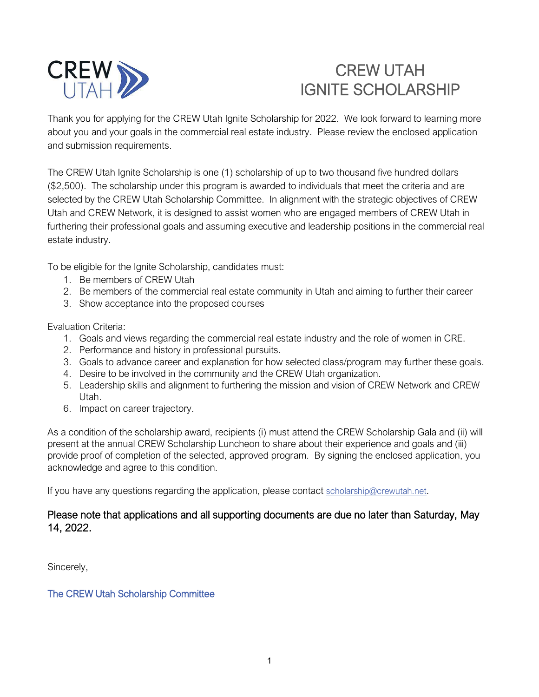

# CREW UTAH IGNITE SCHOLARSHIP

Thank you for applying for the CREW Utah Ignite Scholarship for 2022. We look forward to learning more about you and your goals in the commercial real estate industry. Please review the enclosed application and submission requirements.

The CREW Utah Ignite Scholarship is one (1) scholarship of up to two thousand five hundred dollars (\$2,500). The scholarship under this program is awarded to individuals that meet the criteria and are selected by the CREW Utah Scholarship Committee. In alignment with the strategic objectives of CREW Utah and CREW Network, it is designed to assist women who are engaged members of CREW Utah in furthering their professional goals and assuming executive and leadership positions in the commercial real estate industry.

To be eligible for the Ignite Scholarship, candidates must:

- 1. Be members of CREW Utah
- 2. Be members of the commercial real estate community in Utah and aiming to further their career
- 3. Show acceptance into the proposed courses

Evaluation Criteria:

- 1. Goals and views regarding the commercial real estate industry and the role of women in CRE.
- 2. Performance and history in professional pursuits.
- 3. Goals to advance career and explanation for how selected class/program may further these goals.
- 4. Desire to be involved in the community and the CREW Utah organization.
- 5. Leadership skills and alignment to furthering the mission and vision of CREW Network and CREW Utah.
- 6. Impact on career trajectory.

As a condition of the scholarship award, recipients (i) must attend the CREW Scholarship Gala and (ii) will present at the annual CREW Scholarship Luncheon to share about their experience and goals and (iii) provide proof of completion of the selected, approved program. By signing the enclosed application, you acknowledge and agree to this condition.

If you have any questions regarding the application, please contact [scholarship@crewutah.net.](mailto:scholarship@crewutah.net)

### Please note that applications and all supporting documents are due no later than Saturday, May 14, 2022.

Sincerely,

#### The CREW Utah Scholarship Committee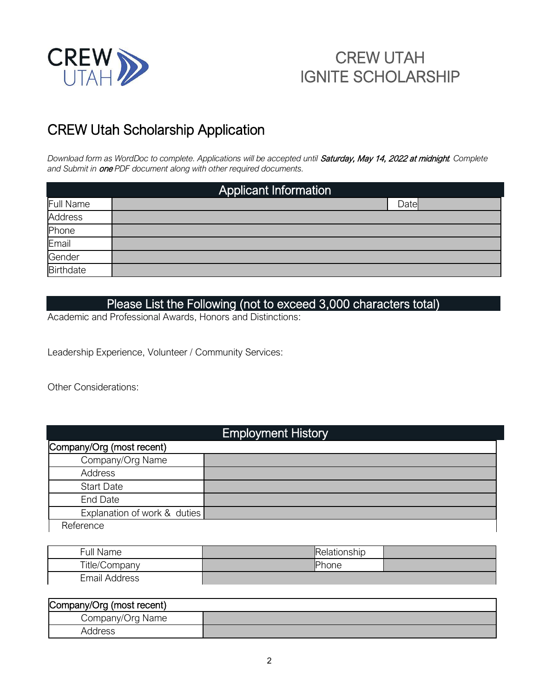

# CREW UTAH IGNITE SCHOLARSHIP

## CREW Utah Scholarship Application

*Download form as WordDoc to complete. Applications will be accepted until* Saturday, May 14, 2022 at midnight*. Complete and Submit in* one *PDF document along with other required documents.*

| <b>Applicant Information</b> |       |  |
|------------------------------|-------|--|
| <b>Full Name</b>             | Datel |  |
| <b>Address</b>               |       |  |
| Phone                        |       |  |
| Email                        |       |  |
| Gender                       |       |  |
| <b>Birthdate</b>             |       |  |

### Please List the Following (not to exceed 3,000 characters total)

Academic and Professional Awards, Honors and Distinctions:

Leadership Experience, Volunteer / Community Services:

Other Considerations:

| <b>Employment History</b>    |  |  |  |  |
|------------------------------|--|--|--|--|
| Company/Org (most recent)    |  |  |  |  |
| Company/Org Name             |  |  |  |  |
| Address                      |  |  |  |  |
| <b>Start Date</b>            |  |  |  |  |
| <b>End Date</b>              |  |  |  |  |
| Explanation of work & duties |  |  |  |  |
| Reference                    |  |  |  |  |

| Full Name            | Relationship |  |
|----------------------|--------------|--|
| Title/Company        | Phone        |  |
| <b>Email Address</b> |              |  |

| Company/Org (most recent) |  |  |  |  |
|---------------------------|--|--|--|--|
| Company/Org Name          |  |  |  |  |
| Address                   |  |  |  |  |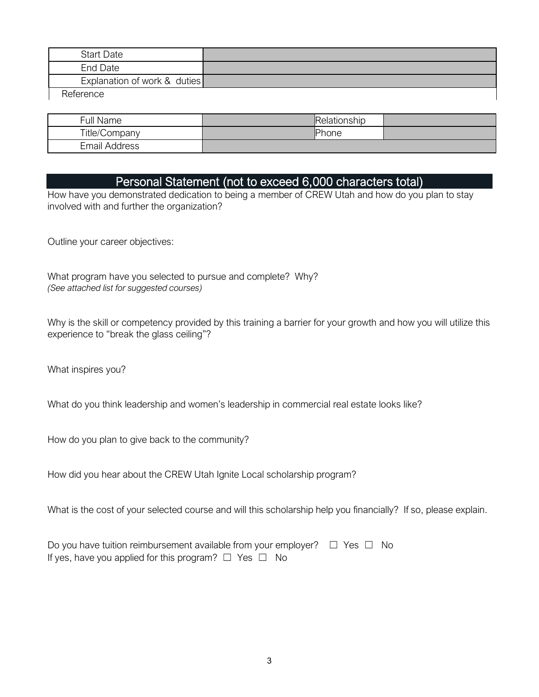| <b>Start Date</b>            |  |
|------------------------------|--|
| End Date                     |  |
| Explanation of work & duties |  |
| Reference                    |  |

Full Name Relationship Title/Company Phone Email Address

### Personal Statement (not to exceed 6,000 characters total)

How have you demonstrated dedication to being a member of CREW Utah and how do you plan to stay involved with and further the organization?

Outline your career objectives:

What program have you selected to pursue and complete? Why? *(See attached list for suggested courses)*

Why is the skill or competency provided by this training a barrier for your growth and how you will utilize this experience to "break the glass ceiling"?

What inspires you?

What do you think leadership and women's leadership in commercial real estate looks like?

How do you plan to give back to the community?

How did you hear about the CREW Utah Ignite Local scholarship program?

What is the cost of your selected course and will this scholarship help you financially? If so, please explain.

Do you have tuition reimbursement available from your employer?  $□$  Yes  $□$  No If yes, have you applied for this program?  $\Box$  Yes  $\Box$  No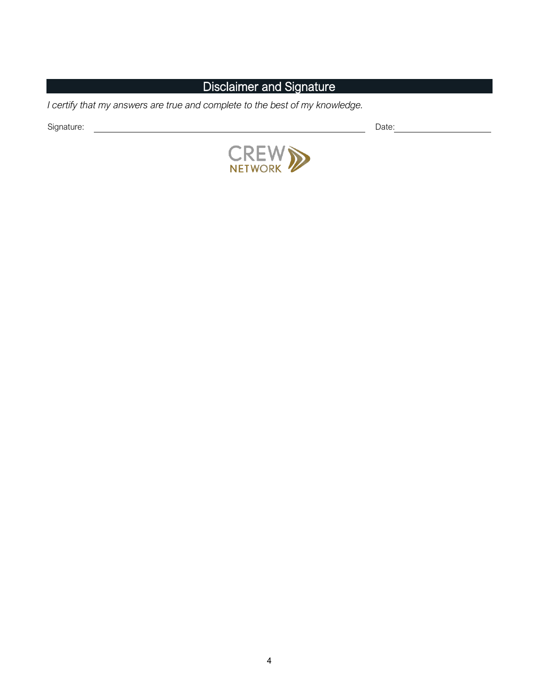### Disclaimer and Signature

*I certify that my answers are true and complete to the best of my knowledge.* 

Signature: Date: Date: Date: Date: Date: Date: Date: Date: Date: Date: Date: Date: Date: Date: Date: Date: Date: Date: Date: Date: Date: Date: Date: Date: Date: Date: Date: Date: Date: Date: Date: Date: Date: Date: Date: D